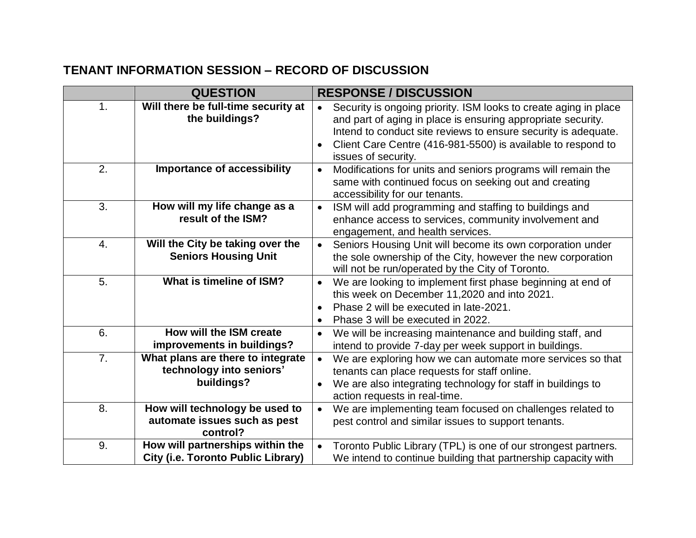## **TENANT INFORMATION SESSION – RECORD OF DISCUSSION**

|                | <b>QUESTION</b>                                                             | <b>RESPONSE / DISCUSSION</b>                                                                                                                                                                                                                                                                           |
|----------------|-----------------------------------------------------------------------------|--------------------------------------------------------------------------------------------------------------------------------------------------------------------------------------------------------------------------------------------------------------------------------------------------------|
| 1.             | Will there be full-time security at<br>the buildings?                       | Security is ongoing priority. ISM looks to create aging in place<br>and part of aging in place is ensuring appropriate security.<br>Intend to conduct site reviews to ensure security is adequate.<br>Client Care Centre (416-981-5500) is available to respond to<br>$\bullet$<br>issues of security. |
| 2.             | <b>Importance of accessibility</b>                                          | Modifications for units and seniors programs will remain the<br>$\bullet$<br>same with continued focus on seeking out and creating<br>accessibility for our tenants.                                                                                                                                   |
| 3.             | How will my life change as a<br>result of the ISM?                          | ISM will add programming and staffing to buildings and<br>enhance access to services, community involvement and<br>engagement, and health services.                                                                                                                                                    |
| 4.             | Will the City be taking over the<br><b>Seniors Housing Unit</b>             | Seniors Housing Unit will become its own corporation under<br>the sole ownership of the City, however the new corporation<br>will not be run/operated by the City of Toronto.                                                                                                                          |
| 5.             | What is timeline of ISM?                                                    | We are looking to implement first phase beginning at end of<br>this week on December 11,2020 and into 2021.<br>Phase 2 will be executed in late-2021.<br>$\bullet$<br>Phase 3 will be executed in 2022.<br>$\bullet$                                                                                   |
| 6.             | How will the ISM create<br>improvements in buildings?                       | We will be increasing maintenance and building staff, and<br>$\bullet$<br>intend to provide 7-day per week support in buildings.                                                                                                                                                                       |
| 7 <sub>1</sub> | What plans are there to integrate<br>technology into seniors'<br>buildings? | We are exploring how we can automate more services so that<br>tenants can place requests for staff online.<br>We are also integrating technology for staff in buildings to<br>action requests in real-time.                                                                                            |
| 8.             | How will technology be used to<br>automate issues such as pest<br>control?  | We are implementing team focused on challenges related to<br>$\bullet$<br>pest control and similar issues to support tenants.                                                                                                                                                                          |
| 9.             | How will partnerships within the<br>City (i.e. Toronto Public Library)      | Toronto Public Library (TPL) is one of our strongest partners.<br>We intend to continue building that partnership capacity with                                                                                                                                                                        |